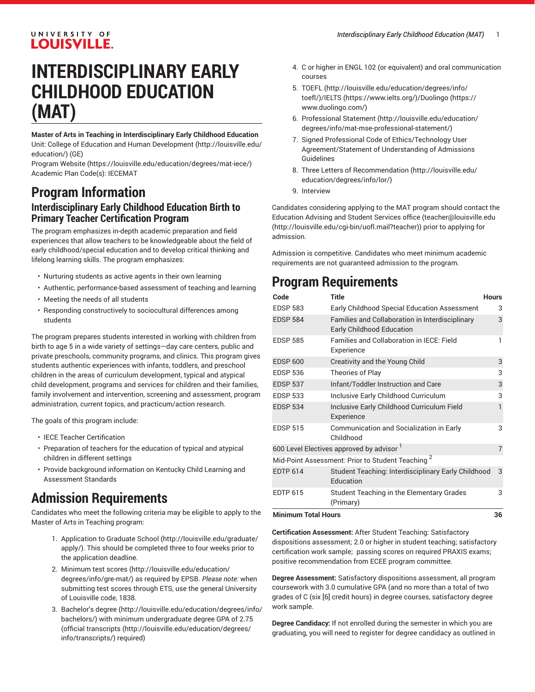#### UNIVERSITY OF **LOUISVILLE.**

# **INTERDISCIPLINARY EARLY CHILDHOOD EDUCATION (MAT)**

**Master of Arts in Teaching in Interdisciplinary Early Childhood Education** Unit: College of Education and Human [Development \(http://louisville.edu/](http://louisville.edu/education/) [education/](http://louisville.edu/education/)) (GE)

[Program](https://louisville.edu/education/degrees/mat-iece/) Website [\(https://louisville.edu/education/degrees/mat-iece/\)](https://louisville.edu/education/degrees/mat-iece/) Academic Plan Code(s): IECEMAT

## **Program Information Interdisciplinary Early Childhood Education Birth to Primary Teacher Certification Program**

The program emphasizes in-depth academic preparation and field experiences that allow teachers to be knowledgeable about the field of early childhood/special education and to develop critical thinking and lifelong learning skills. The program emphasizes:

- Nurturing students as active agents in their own learning
- Authentic, performance-based assessment of teaching and learning
- Meeting the needs of all students
- Responding constructively to sociocultural differences among students

The program prepares students interested in working with children from birth to age 5 in a wide variety of settings—day care centers, public and private preschools, community programs, and clinics. This program gives students authentic experiences with infants, toddlers, and preschool children in the areas of curriculum development, typical and atypical child development, programs and services for children and their families, family involvement and intervention, screening and assessment, program administration, current topics, and practicum/action research.

The goals of this program include:

- IECE Teacher Certification
- Preparation of teachers for the education of typical and atypical children in different settings
- Provide background information on Kentucky Child Learning and Assessment Standards

## **Admission Requirements**

Candidates who meet the following criteria may be eligible to apply to the Master of Arts in Teaching program:

- 1. [Application to Graduate School](http://louisville.edu/graduate/apply/) ([http://louisville.edu/graduate/](http://louisville.edu/graduate/apply/) [apply/\)](http://louisville.edu/graduate/apply/). This should be completed three to four weeks prior to the application deadline.
- 2. [Minimum](http://louisville.edu/education/degrees/info/gre-mat/) test scores ([http://louisville.edu/education/](http://louisville.edu/education/degrees/info/gre-mat/) [degrees/info/gre-mat/](http://louisville.edu/education/degrees/info/gre-mat/)) as required by EPSB. *Please note:* when submitting test scores through ETS, use the general University of Louisville code, 1838.
- 3. [Bachelor's](http://louisville.edu/education/degrees/info/bachelors/) degree [\(http://louisville.edu/education/degrees/info/](http://louisville.edu/education/degrees/info/bachelors/) [bachelors/\)](http://louisville.edu/education/degrees/info/bachelors/) with minimum undergraduate degree GPA of 2.75 ([official transcripts](http://louisville.edu/education/degrees/info/transcripts/) ([http://louisville.edu/education/degrees/](http://louisville.edu/education/degrees/info/transcripts/) [info/transcripts/\)](http://louisville.edu/education/degrees/info/transcripts/) required)
- 4. C or higher in ENGL 102 (or equivalent) and oral communication courses
- 5. [TOEFL](http://louisville.edu/education/degrees/info/toefl/) ([http://louisville.edu/education/degrees/info/](http://louisville.edu/education/degrees/info/toefl/) [toefl/](http://louisville.edu/education/degrees/info/toefl/))[/IELTS](https://www.ielts.org/) (<https://www.ielts.org/>)[/Duolingo](https://www.duolingo.com/) ([https://](https://www.duolingo.com/) [www.duolingo.com/\)](https://www.duolingo.com/)
- 6. [Professional](http://louisville.edu/education/degrees/info/mat-mse-professional-statement/) Statement ([http://louisville.edu/education/](http://louisville.edu/education/degrees/info/mat-mse-professional-statement/) [degrees/info/mat-mse-professional-statement/](http://louisville.edu/education/degrees/info/mat-mse-professional-statement/))
- 7. Signed Professional Code of Ethics/Technology User Agreement/Statement of Understanding of Admissions Guidelines
- 8. Three [Letters of Recommendation](http://louisville.edu/education/degrees/info/lor/) ([http://louisville.edu/](http://louisville.edu/education/degrees/info/lor/) [education/degrees/info/lor/](http://louisville.edu/education/degrees/info/lor/))
- 9. Interview

Candidates considering applying to the MAT program should contact the Education Advising and Student Services office ([teacher@louisville.edu](http://louisville.edu/cgi-bin/uofl.mail?teacher) [\(http://louisville.edu/cgi-bin/uofl.mail?teacher](http://louisville.edu/cgi-bin/uofl.mail?teacher))) prior to applying for admission.

Admission is competitive. Candidates who meet minimum academic requirements are not guaranteed admission to the program.

## **Program Requirements**

| Code                                                         | <b>Title</b>                                                                        | <b>Hours</b>   |
|--------------------------------------------------------------|-------------------------------------------------------------------------------------|----------------|
| <b>EDSP 583</b>                                              | Early Childhood Special Education Assessment                                        | 3              |
| <b>EDSP 584</b>                                              | Families and Collaboration in Interdisciplinary<br><b>Early Childhood Education</b> | 3              |
| <b>EDSP 585</b>                                              | <b>Families and Collaboration in IECE: Field</b><br>Experience                      | 1              |
| <b>EDSP 600</b>                                              | Creativity and the Young Child                                                      | 3              |
| <b>EDSP 536</b>                                              | Theories of Play                                                                    | 3              |
| <b>EDSP 537</b>                                              | Infant/Toddler Instruction and Care                                                 | 3              |
| <b>EDSP 533</b>                                              | Inclusive Early Childhood Curriculum                                                | 3              |
| <b>EDSP 534</b>                                              | Inclusive Early Childhood Curriculum Field<br>Experience                            | 1              |
| <b>EDSP 515</b>                                              | Communication and Socialization in Early<br>Childhood                               | 3              |
| 600 Level Electives approved by advisor <sup>1</sup>         |                                                                                     | $\overline{7}$ |
| Mid-Point Assessment: Prior to Student Teaching <sup>2</sup> |                                                                                     |                |
| <b>EDTP 614</b>                                              | Student Teaching: Interdisciplinary Early Childhood<br>Education                    | 3              |
| <b>EDTP 615</b>                                              | Student Teaching in the Elementary Grades<br>(Primary)                              | 3              |
| <b>Minimum Total Hours</b>                                   |                                                                                     | 36             |

**Certification Assessment:** After Student Teaching: Satisfactory dispositions assessment; 2.0 or higher in student teaching; satisfactory certification work sample; passing scores on required PRAXIS exams; positive recommendation from ECEE program committee.

**Degree Assessment:** Satisfactory dispositions assessment, all program coursework with 3.0 cumulative GPA (and no more than a total of two grades of C (six [6] credit hours) in degree courses, satisfactory degree work sample.

**Degree Candidacy:** If not enrolled during the semester in which you are graduating, you will need to register for degree candidacy [as outlined in](http://catalog.louisville.edu/graduate/general-policies-procedures-requirements/)